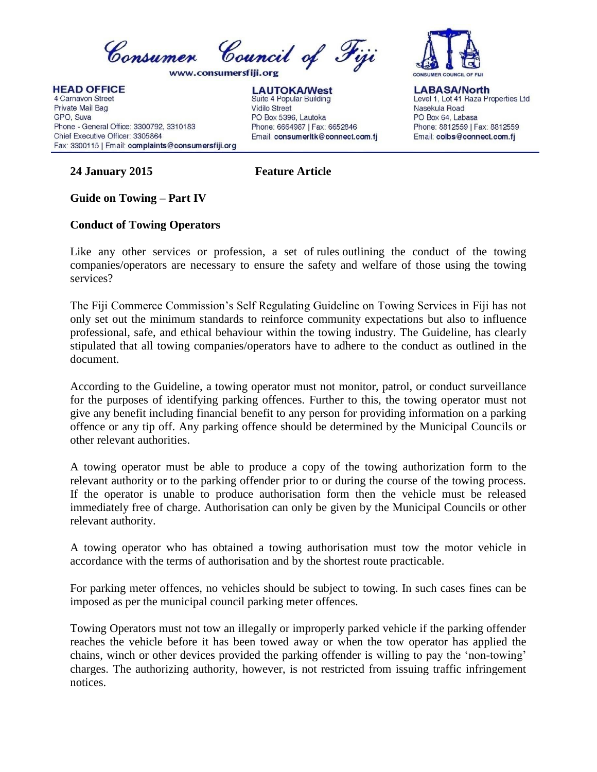

**HEAD OFFICE** 4 Carnavon Street Private Mail Bag GPO, Suva Phone - General Office: 3300792, 3310183 Chief Executive Officer: 3305864 Fax: 3300115 | Email: complaints@consumersfiji.org

**LAUTOKA/West** Suite 4 Popular Building **Vidilo Street** PO Box 5396, Lautoka Phone: 6664987 | Fax: 6652846 Email: consumerItk@connect.com.fj



**LABASA/North** Level 1, Lot 41 Raza Properties Ltd Nasekula Road PO Box 64, Labasa Phone: 8812559 | Fax: 8812559 Email: colbs@connect.com.fj

## **24 January 2015 Feature Article**

## **Guide on Towing – Part IV**

## **Conduct of Towing Operators**

Like any other services or profession, a set of [rules](http://en.wikipedia.org/wiki/Procedural_law) outlining the conduct of the towing companies/operators are necessary to ensure the safety and welfare of those using the towing services?

The Fiji Commerce Commission's Self Regulating Guideline on Towing Services in Fiji has not only set out the minimum standards to reinforce community expectations but also to influence professional, safe, and ethical behaviour within the towing industry. The Guideline, has clearly stipulated that all towing companies/operators have to adhere to the conduct as outlined in the document.

According to the Guideline, a towing operator must not monitor, patrol, or conduct surveillance for the purposes of identifying parking offences. Further to this, the towing operator must not give any benefit including financial benefit to any person for providing information on a parking offence or any tip off. Any parking offence should be determined by the Municipal Councils or other relevant authorities.

A towing operator must be able to produce a copy of the towing authorization form to the relevant authority or to the parking offender prior to or during the course of the towing process. If the operator is unable to produce authorisation form then the vehicle must be released immediately free of charge. Authorisation can only be given by the Municipal Councils or other relevant authority.

A towing operator who has obtained a towing authorisation must tow the motor vehicle in accordance with the terms of authorisation and by the shortest route practicable.

For parking meter offences, no vehicles should be subject to towing. In such cases fines can be imposed as per the municipal council parking meter offences.

Towing Operators must not tow an illegally or improperly parked vehicle if the parking offender reaches the vehicle before it has been towed away or when the tow operator has applied the chains, winch or other devices provided the parking offender is willing to pay the 'non-towing' charges. The authorizing authority, however, is not restricted from issuing traffic infringement notices.